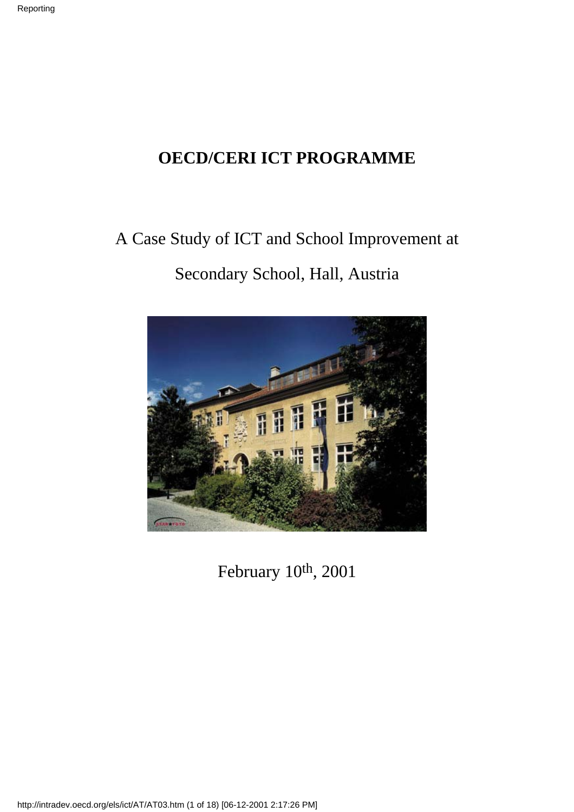### **OECD/CERI ICT PROGRAMME**

## A Case Study of ICT and School Improvement at Secondary School, Hall, Austria



February 10th, 2001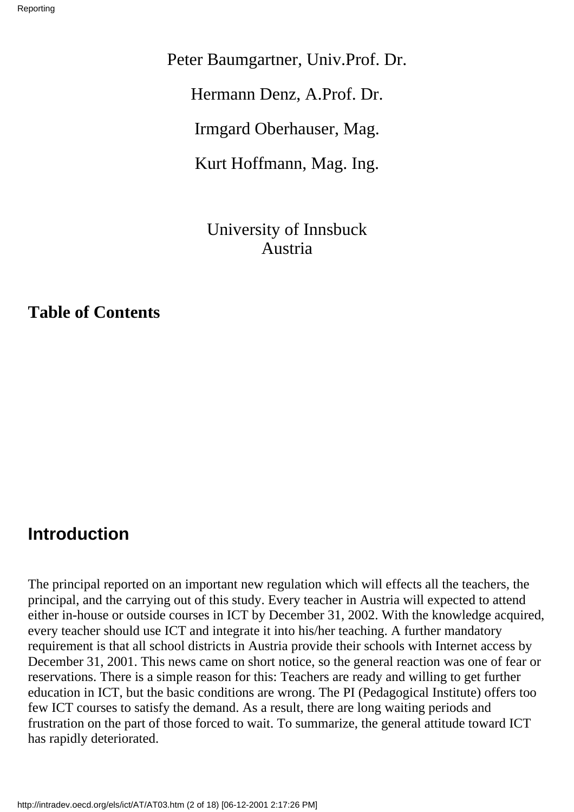Peter Baumgartner, Univ.Prof. Dr. Hermann Denz, A.Prof. Dr. Irmgard Oberhauser, Mag. Kurt Hoffmann, Mag. Ing.

> University of Innsbuck Austria

**Table of Contents**

#### **Introduction**

The principal reported on an important new regulation which will effects all the teachers, the principal, and the carrying out of this study. Every teacher in Austria will expected to attend either in-house or outside courses in ICT by December 31, 2002. With the knowledge acquired, every teacher should use ICT and integrate it into his/her teaching. A further mandatory requirement is that all school districts in Austria provide their schools with Internet access by December 31, 2001. This news came on short notice, so the general reaction was one of fear or reservations. There is a simple reason for this: Teachers are ready and willing to get further education in ICT, but the basic conditions are wrong. The PI (Pedagogical Institute) offers too few ICT courses to satisfy the demand. As a result, there are long waiting periods and frustration on the part of those forced to wait. To summarize, the general attitude toward ICT has rapidly deteriorated.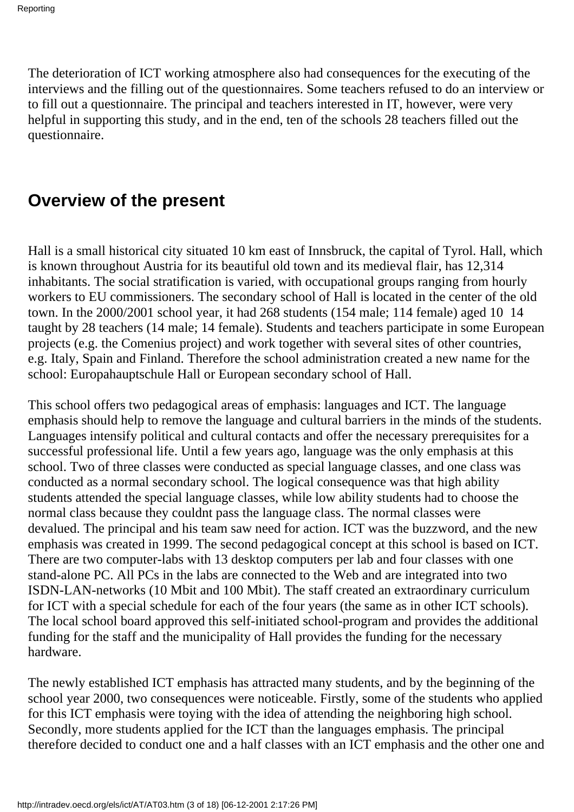The deterioration of ICT working atmosphere also had consequences for the executing of the interviews and the filling out of the questionnaires. Some teachers refused to do an interview or to fill out a questionnaire. The principal and teachers interested in IT, however, were very helpful in supporting this study, and in the end, ten of the school s 28 teachers filled out the questionnaire.

### **Overview of the present**

Hall is a small historical city situated 10 km east of Innsbruck, the capital of Tyrol. Hall, which is known throughout Austria for its beautiful old town and its medieval flair, has 12,314 inhabitants. The social stratification is varied, with occupational groups ranging from hourly workers to EU commissioners. The secondary school of Hall is located in the center of the old town. In the 2000/2001 school year, it had 268 students (154 male; 114 female) aged 10 14 taught by 28 teachers (14 male; 14 female). Students and teachers participate in some European projects (e.g. the Comenius project) and work together with several sites of other countries, e.g. Italy, Spain and Finland. Therefore the school administration created a new name for the school: Europahauptschule Hall or European secondary school of Hall.

This school offers two pedagogical areas of emphasis: languages and ICT. The language emphasis should help to remove the language and cultural barriers in the minds of the students. Languages intensify political and cultural contacts and offer the necessary prerequisites for a successful professional life. Until a few years ago, language was the only emphasis at this school. Two of three classes were conducted as special language classes, and one class was conducted as a normal secondary school. The logical consequence was that high ability students attended the special language classes, while low ability students had to choose the normal class because they couldn t pass the language class. The normal classes were devalued. The principal and his team saw need for action. ICT was the buzzword, and the new emphasis was created in 1999. The second pedagogical concept at this school is based on ICT. There are two computer-labs with 13 desktop computers per lab and four classes with one stand-alone PC. All PC s in the labs are connected to the Web and are integrated into two ISDN-LAN-networks (10 Mbit and 100 Mbit). The staff created an extraordinary curriculum for ICT with a special schedule for each of the four years (the same as in other ICT schools). The local school board approved this self-initiated school-program and provides the additional funding for the staff and the municipality of Hall provides the funding for the necessary hardware.

The newly established ICT emphasis has attracted many students, and by the beginning of the school year 2000, two consequences were noticeable. Firstly, some of the students who applied for this ICT emphasis were toying with the idea of attending the neighboring high school. Secondly, more students applied for the ICT than the languages emphasis. The principal therefore decided to conduct one and a half classes with an ICT emphasis and the other one and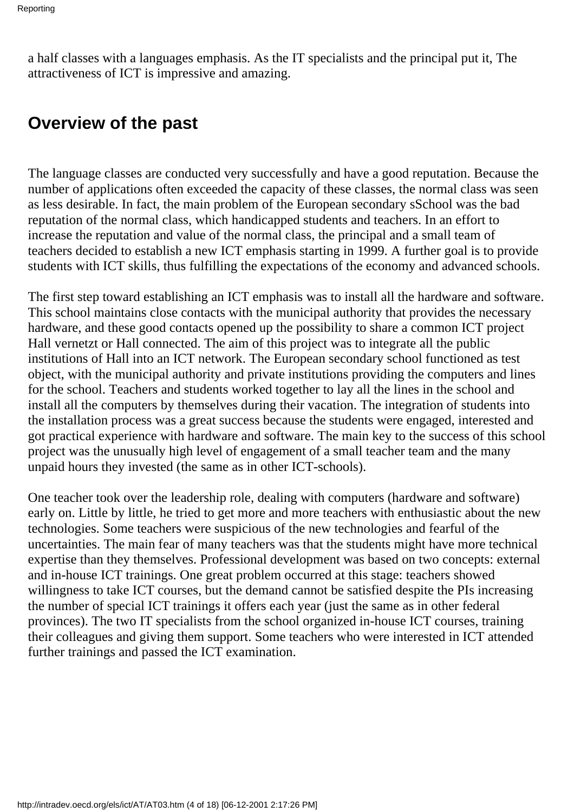a half classes with a languages emphasis. As the IT specialists and the principal put it, The attractiveness of ICT is impressive and amazing.

### **Overview of the past**

The language classes are conducted very successfully and have a good reputation. Because the number of applications often exceeded the capacity of these classes, the normal class was seen as less desirable. In fact, the main problem of the European secondary sSchool was the bad reputation of the normal class, which handicapped students and teachers. In an effort to increase the reputation and value of the normal class, the principal and a small team of teachers decided to establish a new ICT emphasis starting in 1999. A further goal is to provide students with ICT skills, thus fulfilling the expectations of the economy and advanced schools.

The first step toward establishing an ICT emphasis was to install all the hardware and software. This school maintains close contacts with the municipal authority that provides the necessary hardware, and these good contacts opened up the possibility to share a common ICT project Hall vernetzt or Hall connected. The aim of this project was to integrate all the public institutions of Hall into an ICT network. The European secondary school functioned as test object, with the municipal authority and private institutions providing the computers and lines for the school. Teachers and students worked together to lay all the lines in the school and install all the computers by themselves during their vacation. The integration of students into the installation process was a great success because the students were engaged, interested and got practical experience with hardware and software. The main key to the success of this school project was the unusually high level of engagement of a small teacher team and the many unpaid hours they invested (the same as in other ICT-schools).

One teacher took over the leadership role, dealing with computers (hardware and software) early on. Little by little, he tried to get more and more teachers with enthusiastic about the new technologies. Some teachers were suspicious of the new technologies and fearful of the uncertainties. The main fear of many teachers was that the students might have more technical expertise than they themselves. Professional development was based on two concepts: external and in-house ICT trainings. One great problem occurred at this stage: teachers showed willingness to take ICT courses, but the demand cannot be satisfied despite the PI s increasing the number of special ICT trainings it offers each year (just the same as in other federal provinces). The two IT specialists from the school organized in-house ICT courses, training their colleagues and giving them support. Some teachers who were interested in ICT attended further trainings and passed the ICT examination.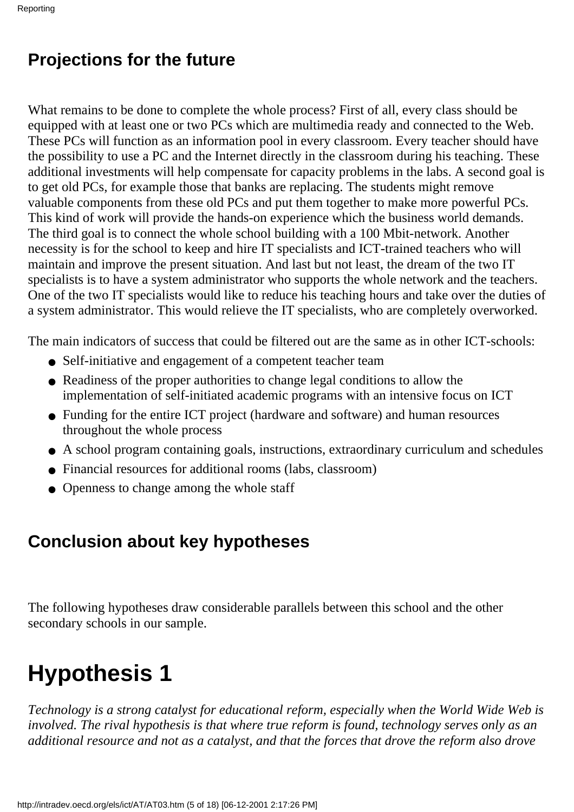### **Projections for the future**

What remains to be done to complete the whole process? First of all, every class should be equipped with at least one or two PC s which are multimedia ready and connected to the Web. These PC s will function as an information pool in every classroom. Every teacher should have the possibility to use a PC and the Internet directly in the classroom during his teaching. These additional investments will help compensate for capacity problems in the labs. A second goal is to get old PC s, for example those that banks are replacing. The students might remove valuable components from these old PC s and put them together to make more powerful PC s. This kind of work will provide the hands-on experience which the business world demands. The third goal is to connect the whole school building with a 100 Mbit-network. Another necessity is for the school to keep and hire IT specialists and ICT-trained teachers who will maintain and improve the present situation. And last but not least, the dream of the two IT specialists is to have a system administrator who supports the whole network and the teachers. One of the two IT specialists would like to reduce his teaching hours and take over the duties of a system administrator. This would relieve the IT specialists, who are completely overworked.

The main indicators of success that could be filtered out are the same as in other ICT-schools:

- Self-initiative and engagement of a competent teacher team
- Readiness of the proper authorities to change legal conditions to allow the implementation of self-initiated academic programs with an intensive focus on ICT
- Funding for the entire ICT project (hardware and software) and human resources throughout the whole process
- A school program containing goals, instructions, extraordinary curriculum and schedules
- Financial resources for additional rooms (labs, classroom)
- Openness to change among the whole staff

### **Conclusion about key hypotheses**

The following hypotheses draw considerable parallels between this school and the other secondary schools in our sample.

# **Hypothesis 1**

*Technology is a strong catalyst for educational reform, especially when the World Wide Web is involved. The rival hypothesis is that where true reform is found, technology serves only as an additional resource and not as a catalyst, and that the forces that drove the reform also drove*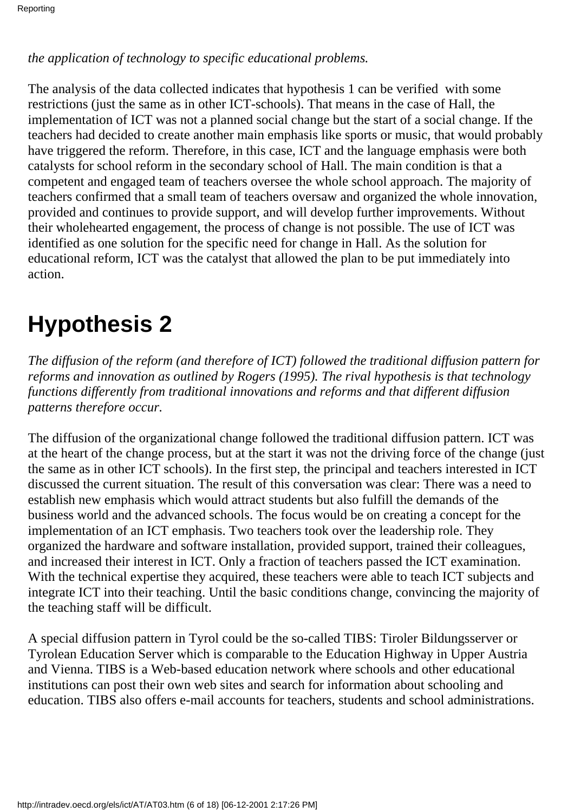#### *the application of technology to specific educational problems.*

The analysis of the data collected indicates that hypothesis 1 can be verified with some restrictions (just the same as in other ICT-schools). That means in the case of Hall, the implementation of ICT was not a planned social change but the start of a social change. If the teachers had decided to create another main emphasis like sports or music, that would probably have triggered the reform. Therefore, in this case, ICT and the language emphasis were both catalysts for school reform in the secondary school of Hall. The main condition is that a competent and engaged team of teachers oversee the whole school approach. The majority of teachers confirmed that a small team of teachers oversaw and organized the whole innovation, provided and continues to provide support, and will develop further improvements. Without their wholehearted engagement, the process of change is not possible. The use of ICT was identified as one solution for the specific need for change in Hall. As the solution for educational reform, ICT was the catalyst that allowed the plan to be put immediately into action.

## **Hypothesis 2**

*The diffusion of the reform (and therefore of ICT) followed the traditional diffusion pattern for reforms and innovation as outlined by Rogers (1995). The rival hypothesis is that technology functions differently from traditional innovations and reforms and that different diffusion patterns therefore occur.*

The diffusion of the organizational change followed the traditional diffusion pattern. ICT was at the heart of the change process, but at the start it was not the driving force of the change (just the same as in other ICT schools). In the first step, the principal and teachers interested in ICT discussed the current situation. The result of this conversation was clear: There was a need to establish new emphasis which would attract students but also fulfill the demands of the business world and the advanced schools. The focus would be on creating a concept for the implementation of an ICT emphasis. Two teachers took over the leadership role. They organized the hardware and software installation, provided support, trained their colleagues, and increased their interest in ICT. Only a fraction of teachers passed the ICT examination. With the technical expertise they acquired, these teachers were able to teach ICT subjects and integrate ICT into their teaching. Until the basic conditions change, convincing the majority of the teaching staff will be difficult.

A special diffusion pattern in Tyrol could be the so-called TIBS: Tiroler Bildungsserver or Tyrolean Education Server which is comparable to the Education Highway in Upper Austria and Vienna. TIBS is a Web-based education network where schools and other educational institutions can post their own web sites and search for information about schooling and education. TIBS also offers e-mail accounts for teachers, students and school administrations.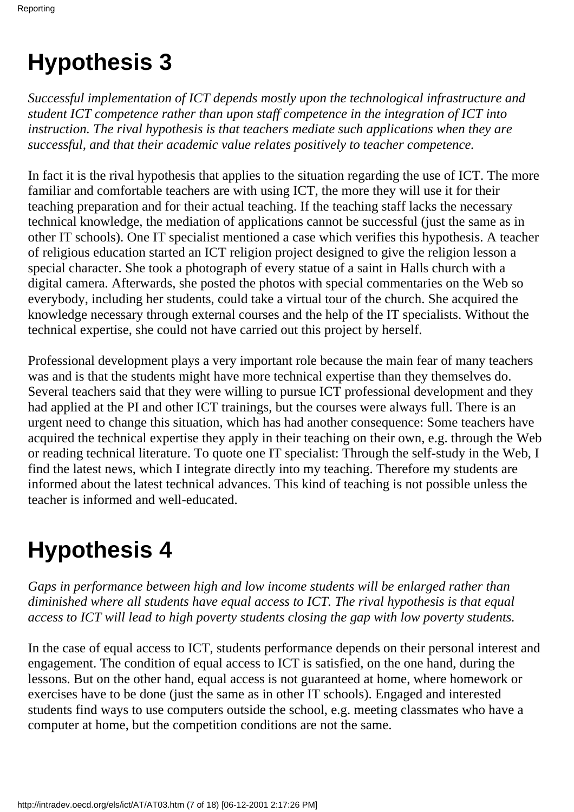# **Hypothesis 3**

*Successful implementation of ICT depends mostly upon the technological infrastructure and student ICT competence rather than upon staff competence in the integration of ICT into instruction. The rival hypothesis is that teachers mediate such applications when they are successful, and that their academic value relates positively to teacher competence.*

In fact it is the rival hypothesis that applies to the situation regarding the use of ICT. The more familiar and comfortable teachers are with using ICT, the more they will use it for their teaching preparation and for their actual teaching. If the teaching staff lacks the necessary technical knowledge, the mediation of applications cannot be successful (just the same as in other IT schools). One IT specialist mentioned a case which verifies this hypothesis. A teacher of religious education started an ICT religion project designed to give the religion lesson a special character. She took a photograph of every statue of a saint in Hall s church with a digital camera. Afterwards, she posted the photos with special commentaries on the Web so everybody, including her students, could take a virtual tour of the church. She acquired the knowledge necessary through external courses and the help of the IT specialists. Without the technical expertise, she could not have carried out this project by herself.

Professional development plays a very important role because the main fear of many teachers was and is that the students might have more technical expertise than they themselves do. Several teachers said that they were willing to pursue ICT professional development and they had applied at the PI and other ICT trainings, but the courses were always full. There is an urgent need to change this situation, which has had another consequence: Some teachers have acquired the technical expertise they apply in their teaching on their own, e.g. through the Web or reading technical literature. To quote one IT specialist: Through the self-study in the Web, I find the latest news, which I integrate directly into my teaching. Therefore my students are informed about the latest technical advances. This kind of teaching is not possible unless the teacher is informed and well-educated.

# **Hypothesis 4**

*Gaps in performance between high and low income students will be enlarged rather than diminished where all students have equal access to ICT. The rival hypothesis is that equal access to ICT will lead to high poverty students closing the gap with low poverty students.*

In the case of equal access to ICT, students performance depends on their personal interest and engagement. The condition of equal access to ICT is satisfied, on the one hand, during the lessons. But on the other hand, equal access is not guaranteed at home, where homework or exercises have to be done (just the same as in other IT schools). Engaged and interested students find ways to use computers outside the school, e.g. meeting classmates who have a computer at home, but the competition conditions are not the same.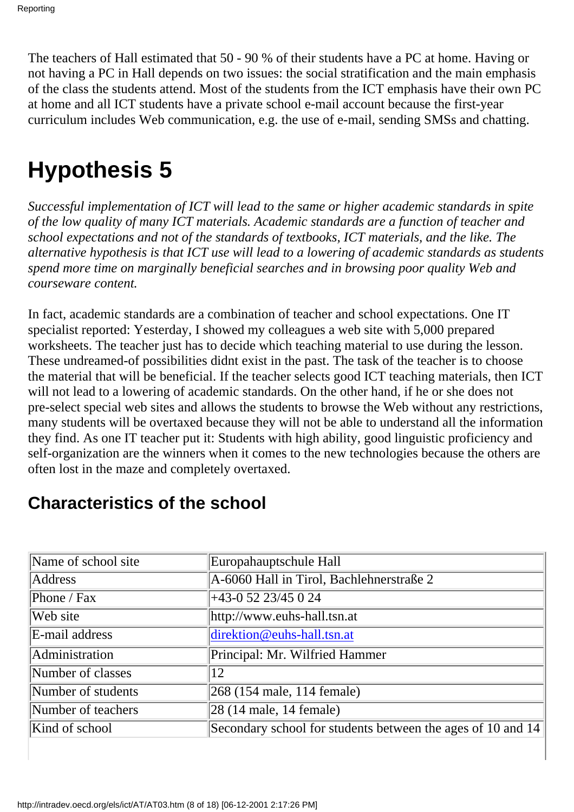The teachers of Hall estimated that 50 - 90 % of their students have a PC at home. Having or not having a PC in Hall depends on two issues: the social stratification and the main emphasis of the class the students attend. Most of the students from the ICT emphasis have their own PC at home and all ICT students have a private school e-mail account because the first-year curriculum includes Web communication, e.g. the use of e-mail, sending SMS s and chatting.

# **Hypothesis 5**

*Successful implementation of ICT will lead to the same or higher academic standards in spite of the low quality of many ICT materials. Academic standards are a function of teacher and school expectations and not of the standards of textbooks, ICT materials, and the like. The alternative hypothesis is that ICT use will lead to a lowering of academic standards as students spend more time on marginally beneficial searches and in browsing poor quality Web and courseware content.*

In fact, academic standards are a combination of teacher and school expectations. One IT specialist reported: Yesterday, I showed my colleagues a web site with 5,000 prepared worksheets. The teacher just has to decide which teaching material to use during the lesson. These undreamed-of possibilities didn t exist in the past. The task of the teacher is to choose the material that will be beneficial. If the teacher selects good ICT teaching materials, then ICT will not lead to a lowering of academic standards. On the other hand, if he or she does not pre-select special web sites and allows the students to browse the Web without any restrictions, many students will be overtaxed because they will not be able to understand all the information they find. As one IT teacher put it: Students with high ability, good linguistic proficiency and self-organization are the winners when it comes to the new technologies because the others are often lost in the maze and completely overtaxed.

| Name of school site | Europahauptschule Hall                                      |
|---------------------|-------------------------------------------------------------|
| Address             | A-6060 Hall in Tirol, Bachlehnerstraße 2                    |
|                     |                                                             |
| Phone / Fax         | +43-0 52 23/45 0 24                                         |
| Web site            | http://www.euhs-hall.tsn.at                                 |
| E-mail address      | direktion@euhs-hall.tsn.at                                  |
| Administration      | Principal: Mr. Wilfried Hammer                              |
| Number of classes   | 12                                                          |
| Number of students  | 268 (154 male, 114 female)                                  |
| Number of teachers  | $ 28(14 \text{ male}, 14 \text{ female}) $                  |
| Kind of school      | Secondary school for students between the ages of 10 and 14 |

### **Characteristics of the school**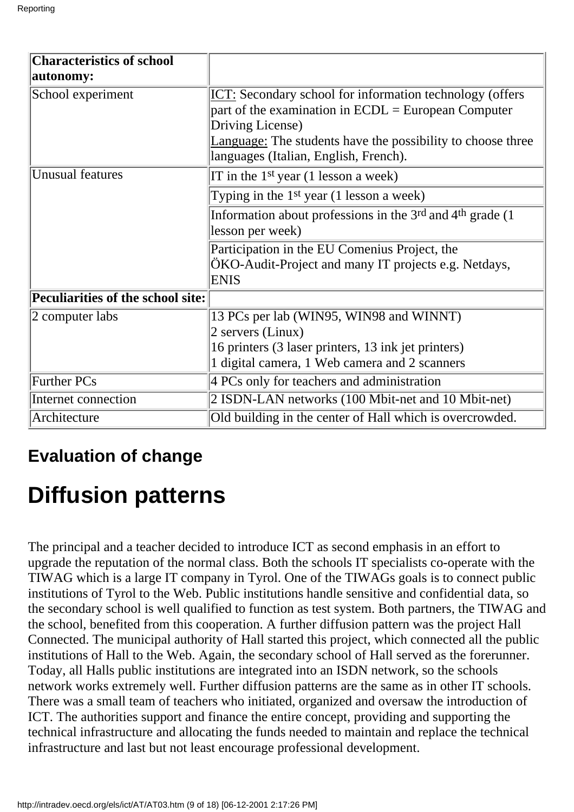| <b>Characteristics of school</b>  |                                                                                                                                                                       |
|-----------------------------------|-----------------------------------------------------------------------------------------------------------------------------------------------------------------------|
| autonomy:                         |                                                                                                                                                                       |
| School experiment                 | ICT: Secondary school for information technology (offers<br>part of the examination in $ECDL = European Computer$<br>Driving License)                                 |
|                                   | Language: The students have the possibility to choose three<br>languages (Italian, English, French).                                                                  |
| <b>Unusual features</b>           | IT in the $1st$ year (1 lesson a week)                                                                                                                                |
|                                   | Typing in the $1st$ year (1 lesson a week)                                                                                                                            |
|                                   | Information about professions in the $3rd$ and $4th$ grade (1)<br>lesson per week)                                                                                    |
|                                   | Participation in the EU Comenius Project, the<br>ÖKO-Audit-Project and many IT projects e.g. Netdays,<br><b>ENIS</b>                                                  |
| Peculiarities of the school site: |                                                                                                                                                                       |
| 2 computer labs                   | 13 PC s per lab (WIN95, WIN98 and WINNT)<br>2 servers (Linux)<br>16 printers (3 laser printers, 13 ink jet printers)<br>1 digital camera, 1 Web camera and 2 scanners |
| Further PC s                      | 4 PC s only for teachers and administration                                                                                                                           |
| Internet connection               | 2 ISDN-LAN networks (100 Mbit-net and 10 Mbit-net)                                                                                                                    |
| Architecture                      | Old building in the center of Hall which is overcrowded.                                                                                                              |

### **Evaluation of change**

# **Diffusion patterns**

The principal and a teacher decided to introduce ICT as second emphasis in an effort to upgrade the reputation of the normal class. Both the schools IT specialists co-operate with the TIWAG which is a large IT company in Tyrol. One of the TIWAG s goals is to connect public institutions of Tyrol to the Web. Public institutions handle sensitive and confidential data, so the secondary school is well qualified to function as test system. Both partners, the TIWAG and the school, benefited from this cooperation. A further diffusion pattern was the project Hall Connected. The municipal authority of Hall started this project, which connected all the public institutions of Hall to the Web. Again, the secondary school of Hall served as the forerunner. Today, all Hall s public institutions are integrated into an ISDN network, so the school s network works extremely well. Further diffusion patterns are the same as in other IT schools. There was a small team of teachers who initiated, organized and oversaw the introduction of ICT. The authorities support and finance the entire concept, providing and supporting the technical infrastructure and allocating the funds needed to maintain and replace the technical infrastructure and last but not least encourage professional development.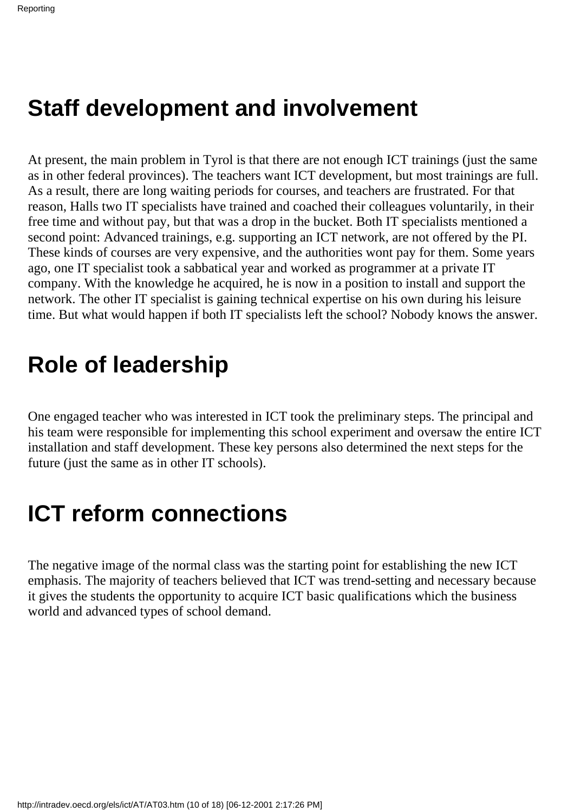## **Staff development and involvement**

At present, the main problem in Tyrol is that there are not enough ICT trainings (just the same as in other federal provinces). The teachers want ICT development, but most trainings are full. As a result, there are long waiting periods for courses, and teachers are frustrated. For that reason, Halls two IT specialists have trained and coached their colleagues voluntarily, in their free time and without pay, but that was a drop in the bucket. Both IT specialists mentioned a second point: Advanced trainings, e.g. supporting an ICT network, are not offered by the PI. These kinds of courses are very expensive, and the authorities wont pay for them. Some years ago, one IT specialist took a sabbatical year and worked as programmer at a private IT company. With the knowledge he acquired, he is now in a position to install and support the network. The other IT specialist is gaining technical expertise on his own during his leisure time. But what would happen if both IT specialists left the school? Nobody knows the answer.

### **Role of leadership**

One engaged teacher who was interested in ICT took the preliminary steps. The principal and his team were responsible for implementing this school experiment and oversaw the entire ICT installation and staff development. These key persons also determined the next steps for the future (just the same as in other IT schools).

## **ICT reform connections**

The negative image of the normal class was the starting point for establishing the new ICT emphasis. The majority of teachers believed that ICT was trend-setting and necessary because it gives the students the opportunity to acquire ICT basic qualifications which the business world and advanced types of school demand.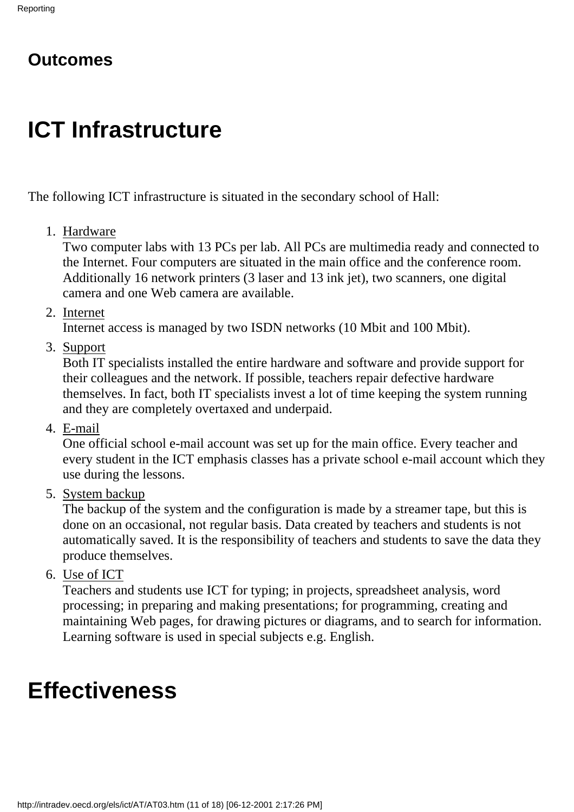### **Outcomes**

# **ICT Infrastructure**

The following ICT infrastructure is situated in the secondary school of Hall:

1. Hardware

Two computer labs with 13 PC s per lab. All PC s are multimedia ready and connected to the Internet. Four computers are situated in the main office and the conference room. Additionally 16 network printers (3 laser and 13 ink jet), two scanners, one digital camera and one Web camera are available.

2. Internet

Internet access is managed by two ISDN networks (10 Mbit and 100 Mbit).

3. Support

Both IT specialists installed the entire hardware and software and provide support for their colleagues and the network. If possible, teachers repair defective hardware themselves. In fact, both IT specialists invest a lot of time keeping the system running and they are completely overtaxed and underpaid.

E-mail 4.

One official school e-mail account was set up for the main office. Every teacher and every student in the ICT emphasis classes has a private school e-mail account which they use during the lessons.

5. System backup

The backup of the system and the configuration is made by a streamer tape, but this is done on an occasional, not regular basis. Data created by teachers and students is not automatically saved. It is the responsibility of teachers and students to save the data they produce themselves.

6. Use of ICT

Teachers and students use ICT for typing; in projects, spreadsheet analysis, word processing; in preparing and making presentations; for programming, creating and maintaining Web pages, for drawing pictures or diagrams, and to search for information. Learning software is used in special subjects e.g. English.

## **Effectiveness**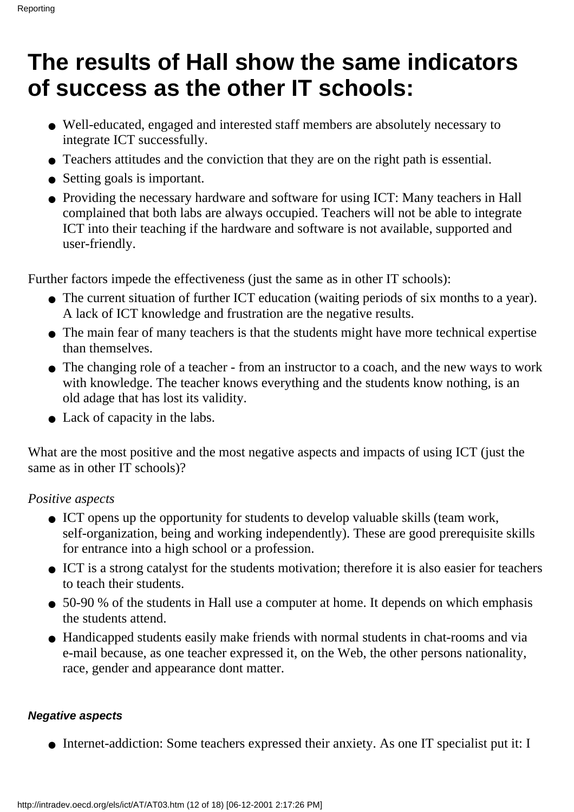## **The results of Hall show the same indicators of success as the other IT schools:**

- Well-educated, engaged and interested staff members are absolutely necessary to integrate ICT successfully.
- Teachers attitudes and the conviction that they are on the right path is essential.
- Setting goals is important.
- Providing the necessary hardware and software for using ICT: Many teachers in Hall complained that both labs are always occupied. Teachers will not be able to integrate ICT into their teaching if the hardware and software is not available, supported and user-friendly.

Further factors impede the effectiveness (just the same as in other IT schools):

- The current situation of further ICT education (waiting periods of six months to a year). A lack of ICT knowledge and frustration are the negative results.
- The main fear of many teachers is that the students might have more technical expertise than themselves.
- The changing role of a teacher from an instructor to a coach, and the new ways to work with knowledge. The teacher knows everything and the students know nothing, is an old adage that has lost its validity.
- Lack of capacity in the labs.

What are the most positive and the most negative aspects and impacts of using ICT (just the same as in other IT schools)?

#### *Positive aspects*

- ICT opens up the opportunity for students to develop valuable skills (team work, self-organization, being and working independently). These are good prerequisite skills for entrance into a high school or a profession.
- ICT is a strong catalyst for the students motivation; therefore it is also easier for teachers to teach their students.
- 50-90 % of the students in Hall use a computer at home. It depends on which emphasis the students attend.
- Handicapped students easily make friends with normal students in chat-rooms and via e-mail because, as one teacher expressed it, on the Web, the other person s nationality, race, gender and appearance don t matter.

#### **Negative aspects**

● Internet-addiction: Some teachers expressed their anxiety. As one IT specialist put it: I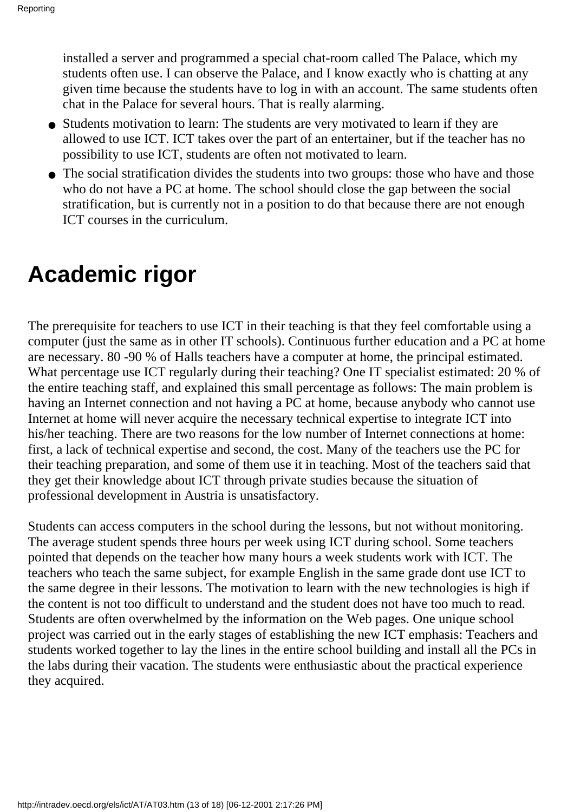installed a server and programmed a special chat-room called The Palace, which my students often use. I can observe the Palace, and I know exactly who is chatting at any given time because the students have to log in with an account. The same students often chat in the Palace for several hours. That is really alarming.

- Students motivation to learn: The students are very motivated to learn if they are allowed to use ICT. ICT takes over the part of an entertainer, but if the teacher has no possibility to use ICT, students are often not motivated to learn.
- The social stratification divides the students into two groups: those who have and those who do not have a PC at home. The school should close the gap between the social stratification, but is currently not in a position to do that because there are not enough ICT courses in the curriculum.

### **Academic rigor**

The prerequisite for teachers to use ICT in their teaching is that they feel comfortable using a computer (just the same as in other IT schools). Continuous further education and a PC at home are necessary. 80 -90 % of Hall s teachers have a computer at home, the principal estimated. What percentage use ICT regularly during their teaching? One IT specialist estimated: 20 % of the entire teaching staff, and explained this small percentage as follows: The main problem is having an Internet connection and not having a PC at home, because anybody who cannot use Internet at home will never acquire the necessary technical expertise to integrate ICT into his/her teaching. There are two reasons for the low number of Internet connections at home: first, a lack of technical expertise and second, the cost. Many of the teachers use the PC for their teaching preparation, and some of them use it in teaching. Most of the teachers said that they get their knowledge about ICT through private studies because the situation of professional development in Austria is unsatisfactory.

Students can access computers in the school during the lessons, but not without monitoring. The average student spends three hours per week using ICT during school. Some teachers pointed that depends on the teacher how many hours a week students work with ICT. The teachers who teach the same subject, for example English in the same grade dont use ICT to the same degree in their lessons. The motivation to learn with the new technologies is high if the content is not too difficult to understand and the student does not have too much to read. Students are often overwhelmed by the information on the Web pages. One unique school project was carried out in the early stages of establishing the new ICT emphasis: Teachers and students worked together to lay the lines in the entire school building and install all the PC s in the labs during their vacation. The students were enthusiastic about the practical experience they acquired.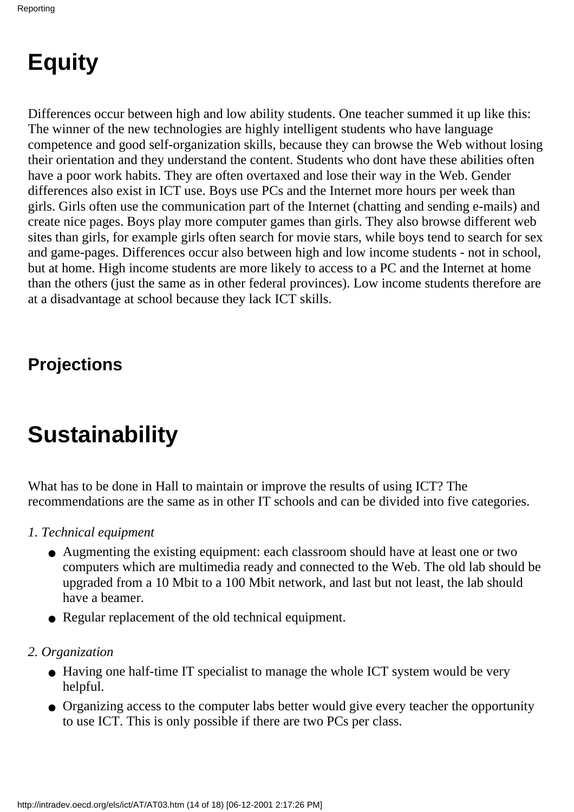# **Equity**

Differences occur between high and low ability students. One teacher summed it up like this: The winner of the new technologies are highly intelligent students who have language competence and good self-organization skills, because they can browse the Web without losing their orientation and they understand the content. Students who dont have these abilities often have a poor work habits. They are often overtaxed and lose their way in the Web. Gender differences also exist in ICT use. Boys use PC s and the Internet more hours per week than girls. Girls often use the communication part of the Internet (chatting and sending e-mails) and create nice pages. Boys play more computer games than girls. They also browse different web sites than girls, for example girls often search for movie stars, while boys tend to search for sex and game-pages. Differences occur also between high and low income students - not in school, but at home. High income students are more likely to access to a PC and the Internet at home than the others (just the same as in other federal provinces). Low income students therefore are at a disadvantage at school because they lack ICT skills.

### **Projections**

# **Sustainability**

What has to be done in Hall to maintain or improve the results of using ICT? The recommendations are the same as in other IT schools and can be divided into five categories.

- *1. Technical equipment*
	- Augmenting the existing equipment: each classroom should have at least one or two computers which are multimedia ready and connected to the Web. The old lab should be upgraded from a 10 Mbit to a 100 Mbit network, and last but not least, the lab should have a beamer.
	- Regular replacement of the old technical equipment.
- *2. Organization*
	- Having one half-time IT specialist to manage the whole ICT system would be very helpful.
	- Organizing access to the computer labs better would give every teacher the opportunity to use ICT. This is only possible if there are two PC s per class.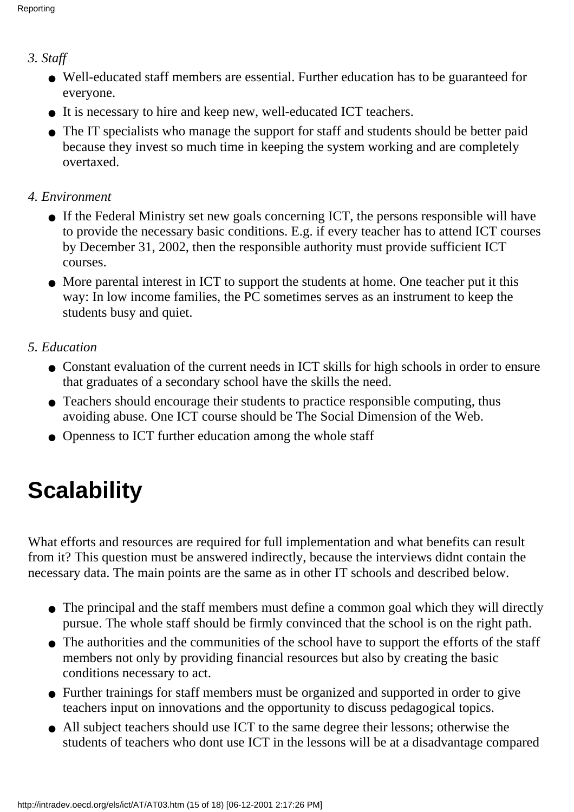#### *3. Staff*

- Well-educated staff members are essential. Further education has to be guaranteed for everyone.
- It is necessary to hire and keep new, well-educated ICT teachers.
- The IT specialists who manage the support for staff and students should be better paid because they invest so much time in keeping the system working and are completely overtaxed.

#### *4. Environment*

- If the Federal Ministry set new goals concerning ICT, the persons responsible will have to provide the necessary basic conditions. E.g. if every teacher has to attend ICT courses by December 31, 2002, then the responsible authority must provide sufficient ICT courses.
- More parental interest in ICT to support the students at home. One teacher put it this way: In low income families, the PC sometimes serves as an instrument to keep the students busy and quiet.

#### *5. Education*

- Constant evaluation of the current needs in ICT skills for high schools in order to ensure that graduates of a secondary school have the skills the need.
- Teachers should encourage their students to practice responsible computing, thus avoiding abuse. One ICT course should be The Social Dimension of the Web.
- Openness to ICT further education among the whole staff

# **Scalability**

What efforts and resources are required for full implementation and what benefits can result from it? This question must be answered indirectly, because the interviews didnt contain the necessary data. The main points are the same as in other IT schools and described below.

- The principal and the staff members must define a common goal which they will directly pursue. The whole staff should be firmly convinced that the school is on the right path.
- The authorities and the communities of the school have to support the efforts of the staff members not only by providing financial resources but also by creating the basic conditions necessary to act.
- Further trainings for staff members must be organized and supported in order to give teachers input on innovations and the opportunity to discuss pedagogical topics.
- All subject teachers should use ICT to the same degree their lessons; otherwise the students of teachers who dont use ICT in the lessons will be at a disadvantage compared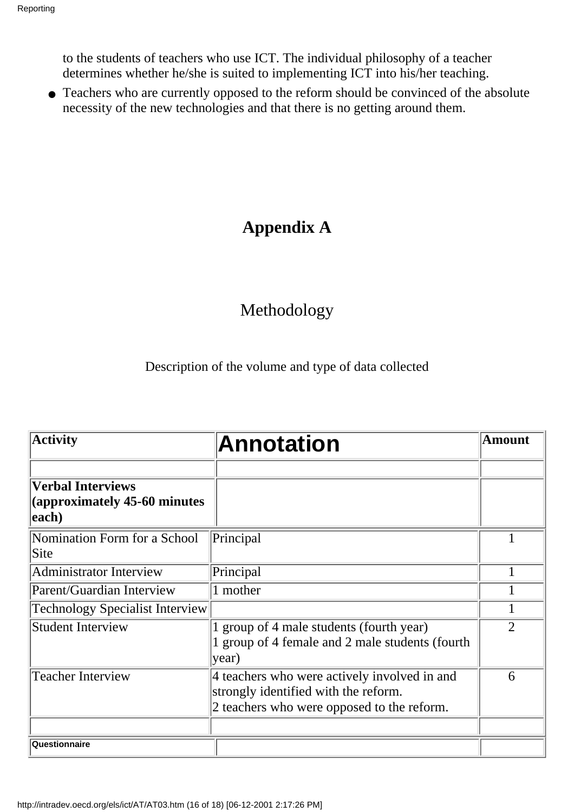to the students of teachers who use ICT. The individual philosophy of a teacher determines whether he/she is suited to implementing ICT into his/her teaching.

• Teachers who are currently opposed to the reform should be convinced of the absolute necessity of the new technologies and that there is no getting around them.

### **Appendix A**

### Methodology

Description of the volume and type of data collected

| <b>Activity</b>                                                    | <b>Annotation</b>                                                                                                                  | <b>Amount</b>  |  |
|--------------------------------------------------------------------|------------------------------------------------------------------------------------------------------------------------------------|----------------|--|
| <b>Verbal Interviews</b><br>(approximately 45-60 minutes)<br>each) |                                                                                                                                    |                |  |
| Nomination Form for a School<br>Site                               | Principal                                                                                                                          |                |  |
| Administrator Interview                                            | Principal                                                                                                                          |                |  |
| Parent/Guardian Interview                                          | 1 mother                                                                                                                           |                |  |
| <b>Technology Specialist Interview</b>                             |                                                                                                                                    |                |  |
| Student Interview                                                  | 1 group of 4 male students (fourth year)<br>1 group of 4 female and 2 male students (fourth<br>year)                               | $\overline{2}$ |  |
| <b>Teacher Interview</b>                                           | 4 teachers who were actively involved in and<br>strongly identified with the reform.<br>2 teachers who were opposed to the reform. | 6              |  |
| Questionnaire                                                      |                                                                                                                                    |                |  |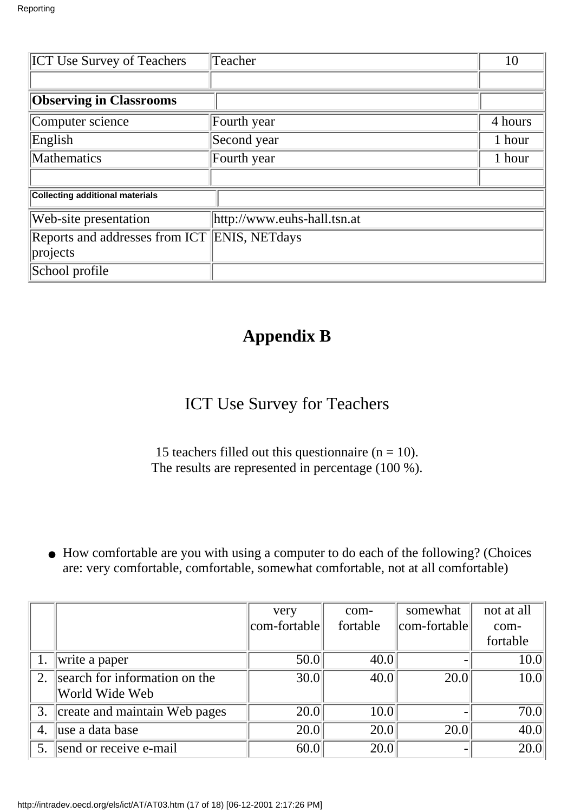| <b>ICT Use Survey of Teachers</b>                    | Teacher     |         |  |  |  |
|------------------------------------------------------|-------------|---------|--|--|--|
|                                                      |             |         |  |  |  |
| <b>Observing in Classrooms</b>                       |             |         |  |  |  |
| Computer science                                     | Fourth year | 4 hours |  |  |  |
| English                                              | Second year | 1 hour  |  |  |  |
| <b>Mathematics</b>                                   | Fourth year | 1 hour  |  |  |  |
|                                                      |             |         |  |  |  |
| <b>Collecting additional materials</b>               |             |         |  |  |  |
| http://www.euhs-hall.tsn.at<br>Web-site presentation |             |         |  |  |  |
| Reports and addresses from ICT ENIS, NETdays         |             |         |  |  |  |
| projects                                             |             |         |  |  |  |
| School profile                                       |             |         |  |  |  |

### **Appendix B**

### ICT Use Survey for Teachers

15 teachers filled out this questionnaire ( $n = 10$ ). The results are represented in percentage (100 %).

• How comfortable are you with using a computer to do each of the following? (Choices are: very comfortable, comfortable, somewhat comfortable, not at all comfortable)

|    |                               | very         | com-     | somewhat     | not at all        |
|----|-------------------------------|--------------|----------|--------------|-------------------|
|    |                               | com-fortable | fortable | com-fortable | com-              |
|    |                               |              |          |              | fortable          |
| 1. | write a paper                 | 50.0         | 40.0     |              | 10.0              |
| 2. | search for information on the | 30.0         | 40.0     | 20.0         | 10.0              |
|    | World Wide Web                |              |          |              |                   |
| 3. | create and maintain Web pages | 20.0         | 10.0     |              | 70.0              |
| 4. | luse a data base              | 20.0         | 20.0     | 20.0         | 40.0              |
| 5. | send or receive e-mail        | 60.0         | 20.0     |              | $\overline{20.0}$ |